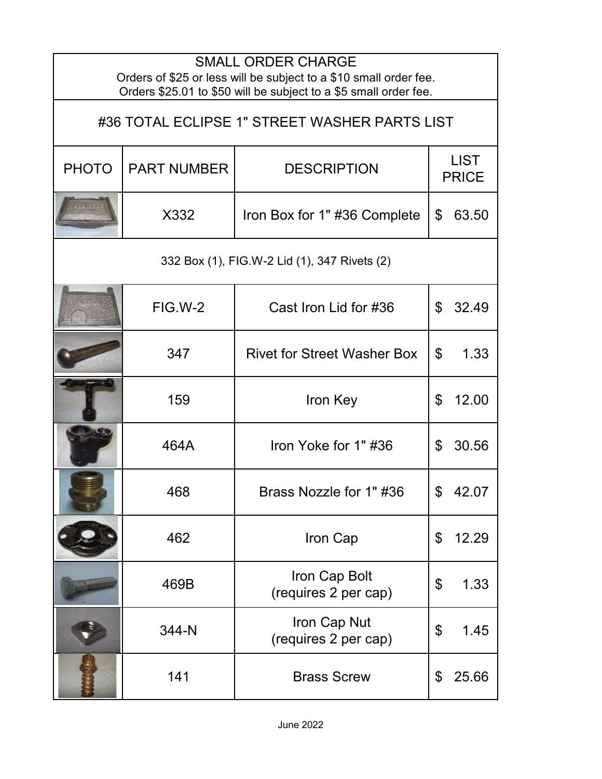| <b>SMALL ORDER CHARGE</b><br>Orders of \$25 or less will be subject to a \$10 small order fee.<br>Orders \$25.01 to \$50 will be subject to a \$5 small order fee. |                    |                                       |                                    |  |  |  |  |
|--------------------------------------------------------------------------------------------------------------------------------------------------------------------|--------------------|---------------------------------------|------------------------------------|--|--|--|--|
| #36 TOTAL ECLIPSE 1" STREET WASHER PARTS LIST                                                                                                                      |                    |                                       |                                    |  |  |  |  |
| <b>PHOTO</b>                                                                                                                                                       | <b>PART NUMBER</b> | <b>DESCRIPTION</b>                    | <b>LIST</b><br><b>PRICE</b>        |  |  |  |  |
|                                                                                                                                                                    | X332               | Iron Box for 1" #36 Complete          | 63.50<br>\$                        |  |  |  |  |
| 332 Box (1), FIG.W-2 Lid (1), 347 Rivets (2)                                                                                                                       |                    |                                       |                                    |  |  |  |  |
|                                                                                                                                                                    | FIG.W-2            | Cast Iron Lid for #36                 | \$<br>32.49                        |  |  |  |  |
|                                                                                                                                                                    | 347                | <b>Rivet for Street Washer Box</b>    | \$<br>1.33                         |  |  |  |  |
|                                                                                                                                                                    | 159                | Iron Key                              | \$<br>12.00                        |  |  |  |  |
|                                                                                                                                                                    | 464A               | Iron Yoke for 1"#36                   | \$<br>30.56                        |  |  |  |  |
|                                                                                                                                                                    | 468                | Brass Nozzle for 1" #36               | \$<br>42.07                        |  |  |  |  |
|                                                                                                                                                                    | 462                | Iron Cap                              | $\boldsymbol{\mathsf{S}}$<br>12.29 |  |  |  |  |
|                                                                                                                                                                    | 469B               | Iron Cap Bolt<br>(requires 2 per cap) | \$<br>1.33                         |  |  |  |  |
|                                                                                                                                                                    | 344-N              | Iron Cap Nut<br>(requires 2 per cap)  | \$<br>1.45                         |  |  |  |  |
|                                                                                                                                                                    | 141                | <b>Brass Screw</b>                    | \$<br>25.66                        |  |  |  |  |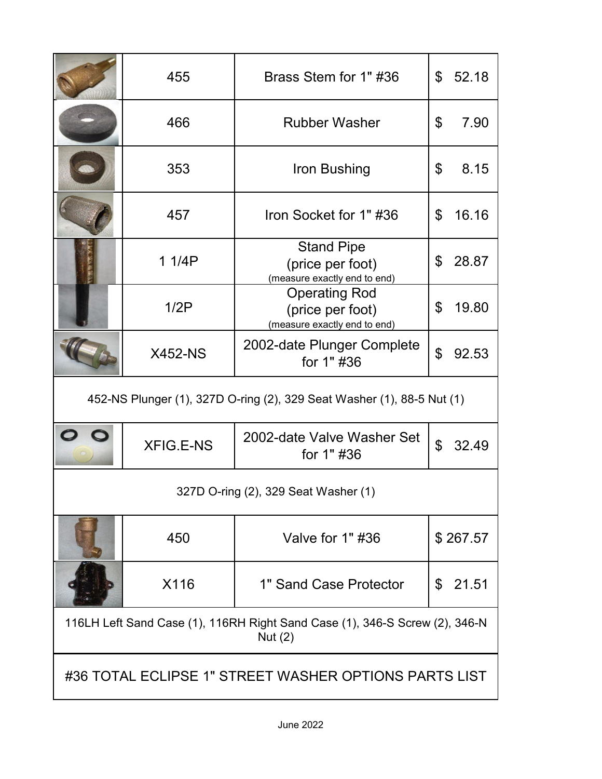|                                                                                          | 455              | Brass Stem for 1" #36                                                    | \$             | 52.18    |  |  |
|------------------------------------------------------------------------------------------|------------------|--------------------------------------------------------------------------|----------------|----------|--|--|
|                                                                                          | 466              | <b>Rubber Washer</b>                                                     | \$             | 7.90     |  |  |
|                                                                                          | 353              | Iron Bushing                                                             | \$             | 8.15     |  |  |
|                                                                                          | 457              | Iron Socket for 1"#36                                                    | $\mathfrak{L}$ | 16.16    |  |  |
|                                                                                          | 1 1/4P           | <b>Stand Pipe</b><br>(price per foot)<br>(measure exactly end to end)    | \$             | 28.87    |  |  |
|                                                                                          | 1/2P             | <b>Operating Rod</b><br>(price per foot)<br>(measure exactly end to end) | \$             | 19.80    |  |  |
|                                                                                          | <b>X452-NS</b>   | 2002-date Plunger Complete<br>for 1" #36                                 | \$             | 92.53    |  |  |
| 452-NS Plunger (1), 327D O-ring (2), 329 Seat Washer (1), 88-5 Nut (1)                   |                  |                                                                          |                |          |  |  |
|                                                                                          | <b>XFIG.E-NS</b> | 2002-date Valve Washer Set<br>for 1" #36                                 | $\mathfrak{L}$ | 32.49    |  |  |
| 327D O-ring (2), 329 Seat Washer (1)                                                     |                  |                                                                          |                |          |  |  |
|                                                                                          | 450              | Valve for $1"$ #36                                                       |                | \$267.57 |  |  |
|                                                                                          | X116             | 1" Sand Case Protector                                                   | \$             | 21.51    |  |  |
| 116LH Left Sand Case (1), 116RH Right Sand Case (1), 346-S Screw (2), 346-N<br>Nut $(2)$ |                  |                                                                          |                |          |  |  |
| #36 TOTAL ECLIPSE 1" STREET WASHER OPTIONS PARTS LIST                                    |                  |                                                                          |                |          |  |  |